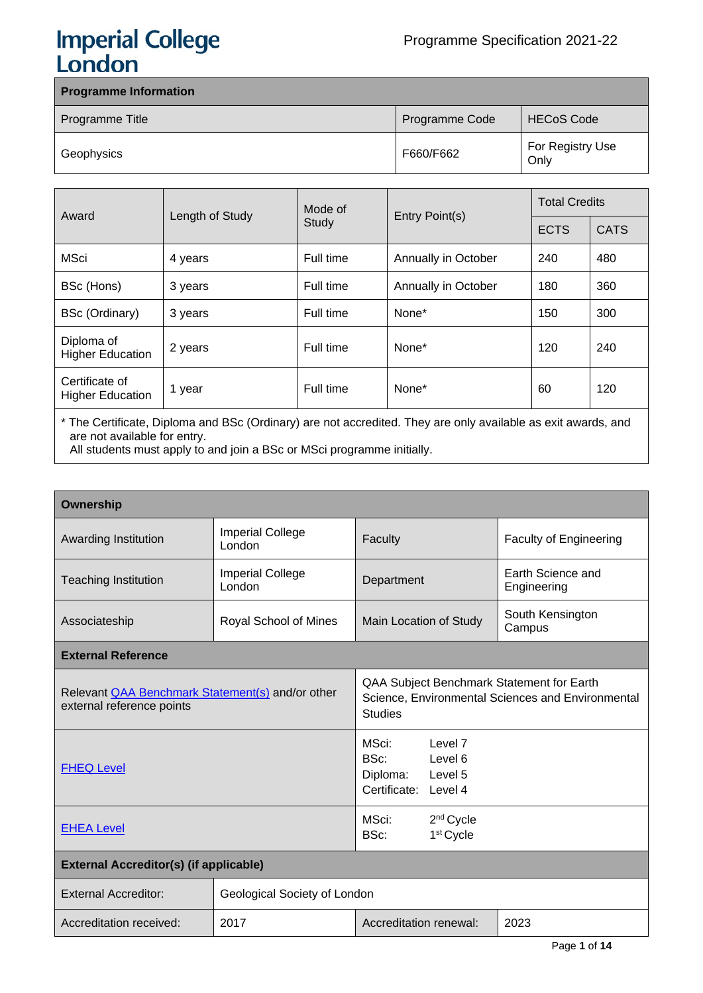# **Imperial College<br>London**

| <b>Programme Information</b> |                |                          |  |  |
|------------------------------|----------------|--------------------------|--|--|
| Programme Title              | Programme Code | <b>HECoS Code</b>        |  |  |
| Geophysics                   | F660/F662      | For Registry Use<br>Only |  |  |

| Award                                     |                 | Mode of<br>Entry Point(s)<br>Study |                     | <b>Total Credits</b> |             |
|-------------------------------------------|-----------------|------------------------------------|---------------------|----------------------|-------------|
|                                           | Length of Study |                                    |                     | <b>ECTS</b>          | <b>CATS</b> |
| MSci                                      | 4 years         | Full time                          | Annually in October | 240                  | 480         |
| BSc (Hons)                                | 3 years         | Full time                          | Annually in October | 180                  | 360         |
| BSc (Ordinary)                            | 3 years         | Full time                          | None*               | 150                  | 300         |
| Diploma of<br><b>Higher Education</b>     | 2 years         | Full time                          | None*               | 120                  | 240         |
| Certificate of<br><b>Higher Education</b> | 1 year          | Full time                          | None*               | 60                   | 120         |

\* The Certificate, Diploma and BSc (Ordinary) are not accredited. They are only available as exit awards, and are not available for entry.

All students must apply to and join a BSc or MSci programme initially.

| <b>Ownership</b>                                                                     |                                   |                                                                                                                  |                                  |  |
|--------------------------------------------------------------------------------------|-----------------------------------|------------------------------------------------------------------------------------------------------------------|----------------------------------|--|
| Awarding Institution                                                                 | <b>Imperial College</b><br>London | Faculty                                                                                                          | <b>Faculty of Engineering</b>    |  |
| <b>Teaching Institution</b>                                                          | <b>Imperial College</b><br>London | Department                                                                                                       | Earth Science and<br>Engineering |  |
| Associateship                                                                        | Royal School of Mines             | Main Location of Study                                                                                           | South Kensington<br>Campus       |  |
| <b>External Reference</b>                                                            |                                   |                                                                                                                  |                                  |  |
| Relevant <b>QAA Benchmark Statement(s)</b> and/or other<br>external reference points |                                   | QAA Subject Benchmark Statement for Earth<br>Science, Environmental Sciences and Environmental<br><b>Studies</b> |                                  |  |
| <b>FHEQ Level</b>                                                                    |                                   | MSci: www.<br>Level 7<br>BSc: Level 6<br>Diploma: Level 5<br>Certificate: Level 4                                |                                  |  |
| <b>EHEA Level</b>                                                                    |                                   | MSci:<br>2 <sup>nd</sup> Cycle<br>BSc:<br>1 <sup>st</sup> Cycle                                                  |                                  |  |
| <b>External Accreditor(s) (if applicable)</b>                                        |                                   |                                                                                                                  |                                  |  |
| <b>External Accreditor:</b>                                                          | Geological Society of London      |                                                                                                                  |                                  |  |
| Accreditation received:                                                              | 2017                              | Accreditation renewal:                                                                                           | 2023                             |  |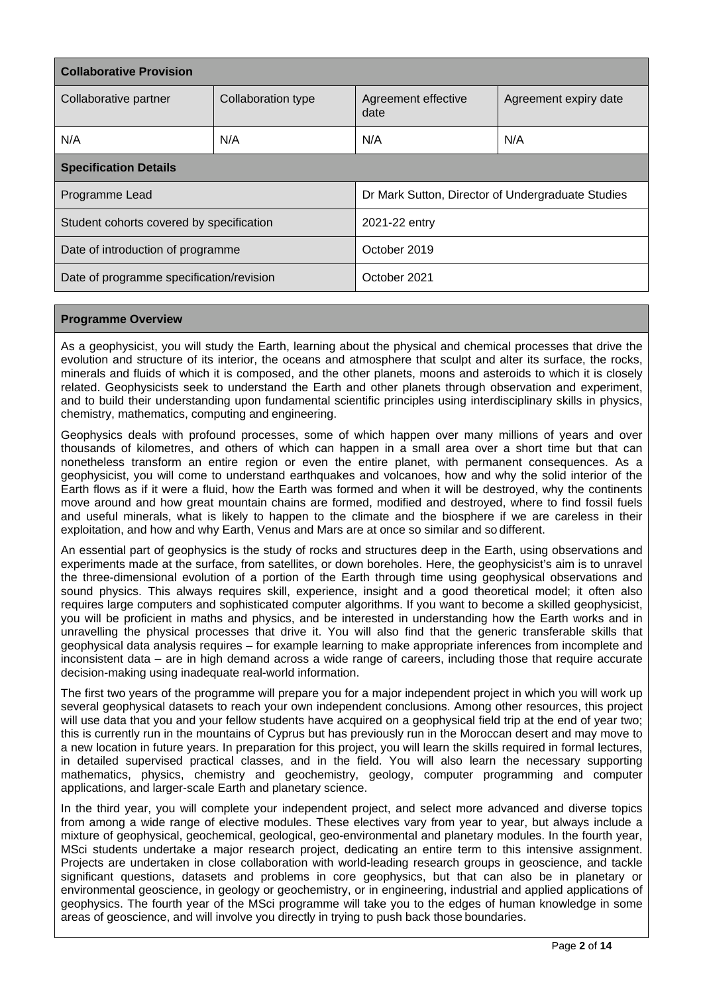| <b>Collaborative Provision</b>           |                    |                                                   |                       |  |
|------------------------------------------|--------------------|---------------------------------------------------|-----------------------|--|
| Collaborative partner                    | Collaboration type | Agreement effective<br>date                       | Agreement expiry date |  |
| N/A                                      | N/A                | N/A                                               | N/A                   |  |
| <b>Specification Details</b>             |                    |                                                   |                       |  |
| Programme Lead                           |                    | Dr Mark Sutton, Director of Undergraduate Studies |                       |  |
| Student cohorts covered by specification |                    | 2021-22 entry                                     |                       |  |
| Date of introduction of programme        |                    | October 2019                                      |                       |  |
| Date of programme specification/revision |                    | October 2021                                      |                       |  |

## **Programme Overview**

As a geophysicist, you will study the Earth, learning about the physical and chemical processes that drive the evolution and structure of its interior, the oceans and atmosphere that sculpt and alter its surface, the rocks, minerals and fluids of which it is composed, and the other planets, moons and asteroids to which it is closely related. Geophysicists seek to understand the Earth and other planets through observation and experiment, and to build their understanding upon fundamental scientific principles using interdisciplinary skills in physics, chemistry, mathematics, computing and engineering.

Geophysics deals with profound processes, some of which happen over many millions of years and over thousands of kilometres, and others of which can happen in a small area over a short time but that can nonetheless transform an entire region or even the entire planet, with permanent consequences. As a geophysicist, you will come to understand earthquakes and volcanoes, how and why the solid interior of the Earth flows as if it were a fluid, how the Earth was formed and when it will be destroyed, why the continents move around and how great mountain chains are formed, modified and destroyed, where to find fossil fuels and useful minerals, what is likely to happen to the climate and the biosphere if we are careless in their exploitation, and how and why Earth, Venus and Mars are at once so similar and so different.

An essential part of geophysics is the study of rocks and structures deep in the Earth, using observations and experiments made at the surface, from satellites, or down boreholes. Here, the geophysicist's aim is to unravel the three-dimensional evolution of a portion of the Earth through time using geophysical observations and sound physics. This always requires skill, experience, insight and a good theoretical model; it often also requires large computers and sophisticated computer algorithms. If you want to become a skilled geophysicist, you will be proficient in maths and physics, and be interested in understanding how the Earth works and in unravelling the physical processes that drive it. You will also find that the generic transferable skills that geophysical data analysis requires – for example learning to make appropriate inferences from incomplete and inconsistent data – are in high demand across a wide range of careers, including those that require accurate decision-making using inadequate real-world information.

The first two years of the programme will prepare you for a major independent project in which you will work up several geophysical datasets to reach your own independent conclusions. Among other resources, this project will use data that you and your fellow students have acquired on a geophysical field trip at the end of year two; this is currently run in the mountains of Cyprus but has previously run in the Moroccan desert and may move to a new location in future years. In preparation for this project, you will learn the skills required in formal lectures, in detailed supervised practical classes, and in the field. You will also learn the necessary supporting mathematics, physics, chemistry and geochemistry, geology, computer programming and computer applications, and larger-scale Earth and planetary science.

In the third year, you will complete your independent project, and select more advanced and diverse topics from among a wide range of elective modules. These electives vary from year to year, but always include a mixture of geophysical, geochemical, geological, geo-environmental and planetary modules. In the fourth year, MSci students undertake a major research project, dedicating an entire term to this intensive assignment. Projects are undertaken in close collaboration with world-leading research groups in geoscience, and tackle significant questions, datasets and problems in core geophysics, but that can also be in planetary or environmental geoscience, in geology or geochemistry, or in engineering, industrial and applied applications of geophysics. The fourth year of the MSci programme will take you to the edges of human knowledge in some areas of geoscience, and will involve you directly in trying to push back those boundaries.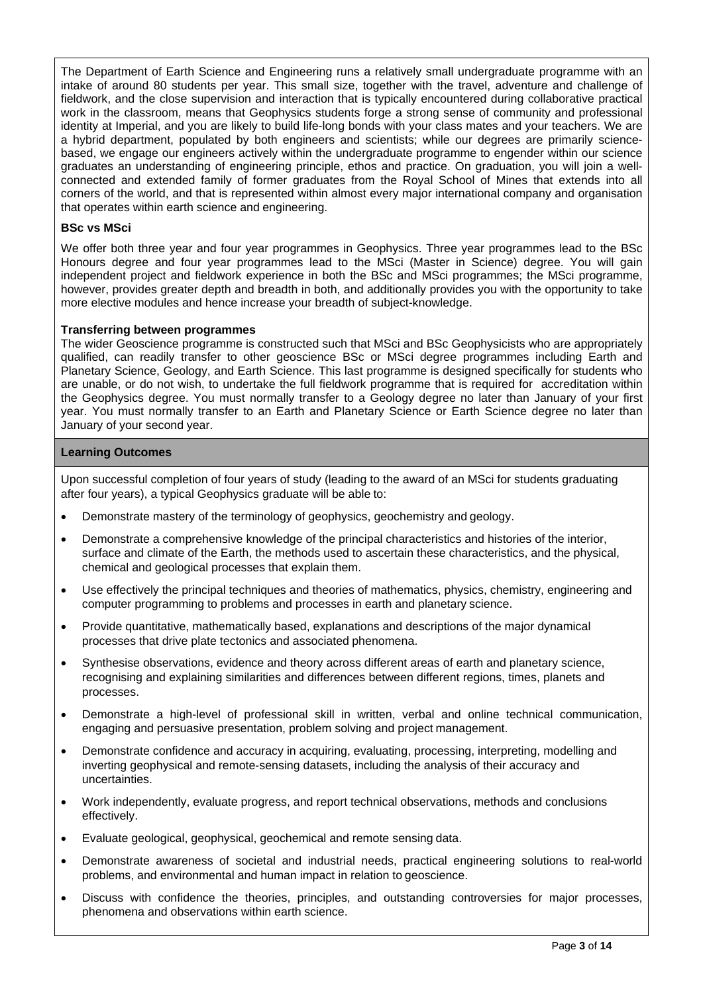The Department of Earth Science and Engineering runs a relatively small undergraduate programme with an intake of around 80 students per year. This small size, together with the travel, adventure and challenge of fieldwork, and the close supervision and interaction that is typically encountered during collaborative practical work in the classroom, means that Geophysics students forge a strong sense of community and professional identity at Imperial, and you are likely to build life-long bonds with your class mates and your teachers. We are a hybrid department, populated by both engineers and scientists; while our degrees are primarily sciencebased, we engage our engineers actively within the undergraduate programme to engender within our science graduates an understanding of engineering principle, ethos and practice. On graduation, you will join a wellconnected and extended family of former graduates from the Royal School of Mines that extends into all corners of the world, and that is represented within almost every major international company and organisation that operates within earth science and engineering.

### **BSc vs MSci**

We offer both three year and four year programmes in Geophysics. Three year programmes lead to the BSc Honours degree and four year programmes lead to the MSci (Master in Science) degree. You will gain independent project and fieldwork experience in both the BSc and MSci programmes; the MSci programme, however, provides greater depth and breadth in both, and additionally provides you with the opportunity to take more elective modules and hence increase your breadth of subject-knowledge.

#### **Transferring between programmes**

The wider Geoscience programme is constructed such that MSci and BSc Geophysicists who are appropriately qualified, can readily transfer to other geoscience BSc or MSci degree programmes including Earth and Planetary Science, Geology, and Earth Science. This last programme is designed specifically for students who are unable, or do not wish, to undertake the full fieldwork programme that is required for accreditation within the Geophysics degree. You must normally transfer to a Geology degree no later than January of your first year. You must normally transfer to an Earth and Planetary Science or Earth Science degree no later than January of your second year.

#### **Learning Outcomes**

Upon successful completion of four years of study (leading to the award of an MSci for students graduating after four years), a typical Geophysics graduate will be able to:

- Demonstrate mastery of the terminology of geophysics, geochemistry and geology.
- Demonstrate a comprehensive knowledge of the principal characteristics and histories of the interior, surface and climate of the Earth, the methods used to ascertain these characteristics, and the physical, chemical and geological processes that explain them.
- Use effectively the principal techniques and theories of mathematics, physics, chemistry, engineering and computer programming to problems and processes in earth and planetary science.
- Provide quantitative, mathematically based, explanations and descriptions of the major dynamical processes that drive plate tectonics and associated phenomena.
- Synthesise observations, evidence and theory across different areas of earth and planetary science, recognising and explaining similarities and differences between different regions, times, planets and processes.
- Demonstrate a high-level of professional skill in written, verbal and online technical communication, engaging and persuasive presentation, problem solving and project management.
- Demonstrate confidence and accuracy in acquiring, evaluating, processing, interpreting, modelling and inverting geophysical and remote-sensing datasets, including the analysis of their accuracy and uncertainties.
- Work independently, evaluate progress, and report technical observations, methods and conclusions effectively.
- Evaluate geological, geophysical, geochemical and remote sensing data.
- Demonstrate awareness of societal and industrial needs, practical engineering solutions to real-world problems, and environmental and human impact in relation to geoscience.
- Discuss with confidence the theories, principles, and outstanding controversies for major processes, phenomena and observations within earth science.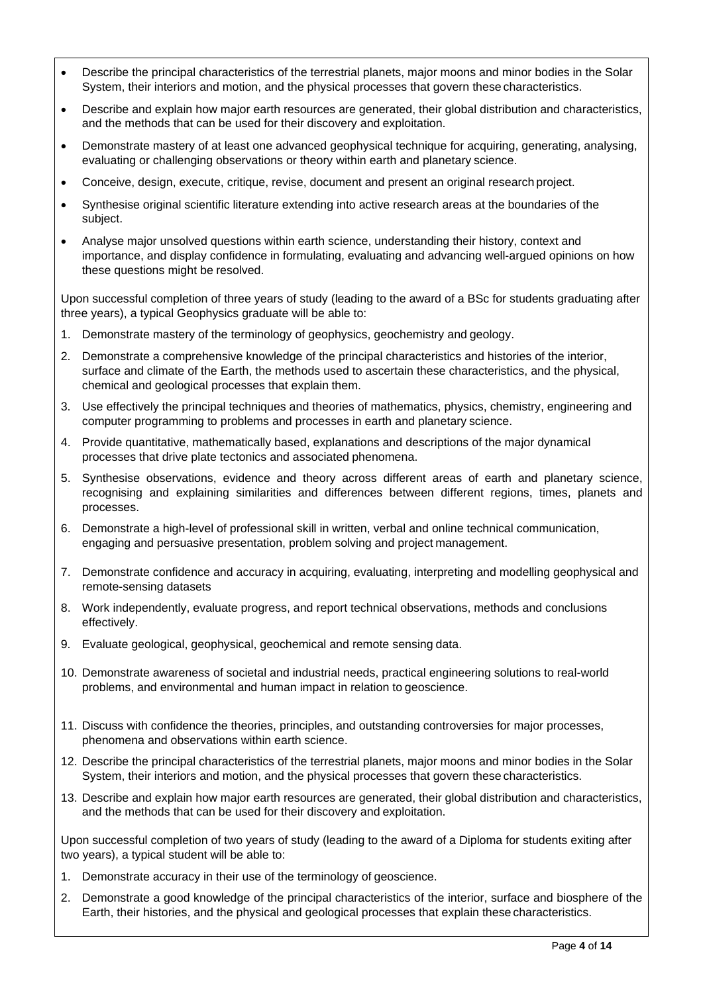- Describe the principal characteristics of the terrestrial planets, major moons and minor bodies in the Solar System, their interiors and motion, and the physical processes that govern these characteristics.
- Describe and explain how major earth resources are generated, their global distribution and characteristics, and the methods that can be used for their discovery and exploitation.
- Demonstrate mastery of at least one advanced geophysical technique for acquiring, generating, analysing, evaluating or challenging observations or theory within earth and planetary science.
- Conceive, design, execute, critique, revise, document and present an original research project.
- Synthesise original scientific literature extending into active research areas at the boundaries of the subject.
- Analyse major unsolved questions within earth science, understanding their history, context and importance, and display confidence in formulating, evaluating and advancing well-argued opinions on how these questions might be resolved.

Upon successful completion of three years of study (leading to the award of a BSc for students graduating after three years), a typical Geophysics graduate will be able to:

- 1. Demonstrate mastery of the terminology of geophysics, geochemistry and geology.
- 2. Demonstrate a comprehensive knowledge of the principal characteristics and histories of the interior, surface and climate of the Earth, the methods used to ascertain these characteristics, and the physical, chemical and geological processes that explain them.
- 3. Use effectively the principal techniques and theories of mathematics, physics, chemistry, engineering and computer programming to problems and processes in earth and planetary science.
- 4. Provide quantitative, mathematically based, explanations and descriptions of the major dynamical processes that drive plate tectonics and associated phenomena.
- 5. Synthesise observations, evidence and theory across different areas of earth and planetary science, recognising and explaining similarities and differences between different regions, times, planets and processes.
- 6. Demonstrate a high-level of professional skill in written, verbal and online technical communication, engaging and persuasive presentation, problem solving and project management.
- 7. Demonstrate confidence and accuracy in acquiring, evaluating, interpreting and modelling geophysical and remote-sensing datasets
- 8. Work independently, evaluate progress, and report technical observations, methods and conclusions effectively.
- 9. Evaluate geological, geophysical, geochemical and remote sensing data.
- 10. Demonstrate awareness of societal and industrial needs, practical engineering solutions to real-world problems, and environmental and human impact in relation to geoscience.
- 11. Discuss with confidence the theories, principles, and outstanding controversies for major processes, phenomena and observations within earth science.
- 12. Describe the principal characteristics of the terrestrial planets, major moons and minor bodies in the Solar System, their interiors and motion, and the physical processes that govern these characteristics.
- 13. Describe and explain how major earth resources are generated, their global distribution and characteristics, and the methods that can be used for their discovery and exploitation.

Upon successful completion of two years of study (leading to the award of a Diploma for students exiting after two years), a typical student will be able to:

- 1. Demonstrate accuracy in their use of the terminology of geoscience.
- 2. Demonstrate a good knowledge of the principal characteristics of the interior, surface and biosphere of the Earth, their histories, and the physical and geological processes that explain these characteristics.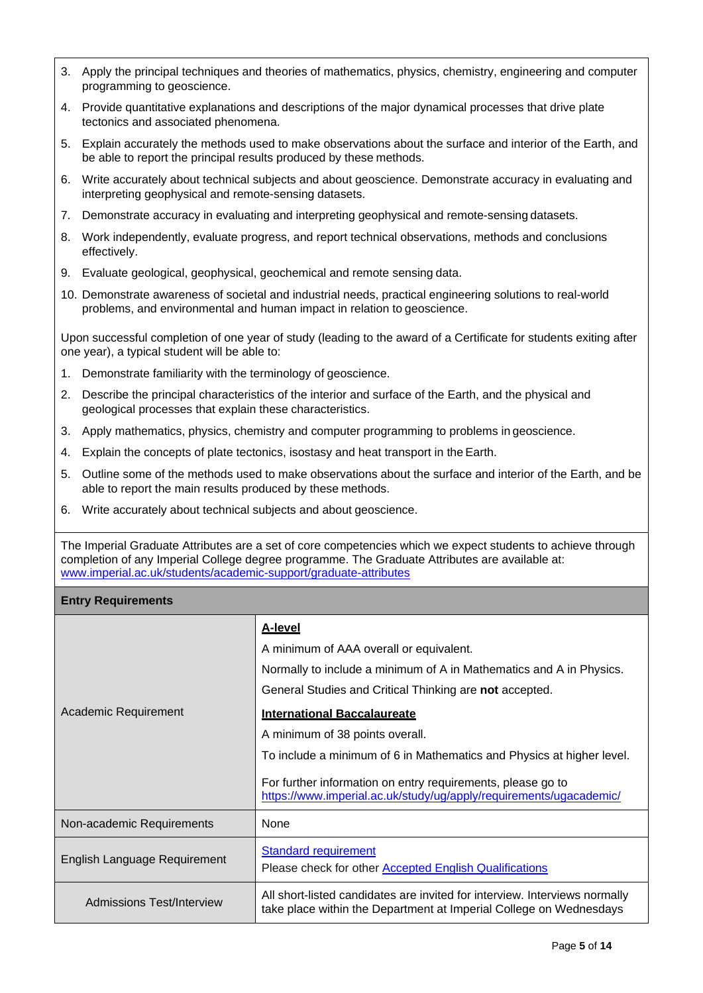- 3. Apply the principal techniques and theories of mathematics, physics, chemistry, engineering and computer programming to geoscience.
- 4. Provide quantitative explanations and descriptions of the major dynamical processes that drive plate tectonics and associated phenomena.
- 5. Explain accurately the methods used to make observations about the surface and interior of the Earth, and be able to report the principal results produced by these methods.
- 6. Write accurately about technical subjects and about geoscience. Demonstrate accuracy in evaluating and interpreting geophysical and remote-sensing datasets.
- 7. Demonstrate accuracy in evaluating and interpreting geophysical and remote-sensing datasets.
- 8. Work independently, evaluate progress, and report technical observations, methods and conclusions effectively.
- 9. Evaluate geological, geophysical, geochemical and remote sensing data.
- 10. Demonstrate awareness of societal and industrial needs, practical engineering solutions to real-world problems, and environmental and human impact in relation to geoscience.

Upon successful completion of one year of study (leading to the award of a Certificate for students exiting after one year), a typical student will be able to:

- 1. Demonstrate familiarity with the terminology of geoscience.
- 2. Describe the principal characteristics of the interior and surface of the Earth, and the physical and geological processes that explain these characteristics.
- 3. Apply mathematics, physics, chemistry and computer programming to problems in geoscience.
- 4. Explain the concepts of plate tectonics, isostasy and heat transport in the Earth.
- 5. Outline some of the methods used to make observations about the surface and interior of the Earth, and be able to report the main results produced by these methods.
- 6. Write accurately about technical subjects and about geoscience.

The Imperial Graduate Attributes are a set of core competencies which we expect students to achieve through completion of any Imperial College degree programme. The Graduate Attributes are available at: [www.imperial.ac.uk/students/academic-support/graduate-attributes](http://www.imperial.ac.uk/students/academic-support/graduate-attributes)

## **Entry Requirements**

|                              | <b>A-level</b>                                                                                                                                   |
|------------------------------|--------------------------------------------------------------------------------------------------------------------------------------------------|
|                              | A minimum of AAA overall or equivalent.                                                                                                          |
|                              | Normally to include a minimum of A in Mathematics and A in Physics.                                                                              |
|                              | General Studies and Critical Thinking are not accepted.                                                                                          |
| Academic Requirement         | <b>International Baccalaureate</b>                                                                                                               |
|                              | A minimum of 38 points overall.                                                                                                                  |
|                              | To include a minimum of 6 in Mathematics and Physics at higher level.                                                                            |
|                              | For further information on entry requirements, please go to<br>https://www.imperial.ac.uk/study/ug/apply/requirements/ugacademic/                |
| Non-academic Requirements    | None                                                                                                                                             |
| English Language Requirement | <b>Standard requirement</b><br>Please check for other <b>Accepted English Qualifications</b>                                                     |
| Admissions Test/Interview    | All short-listed candidates are invited for interview. Interviews normally<br>take place within the Department at Imperial College on Wednesdays |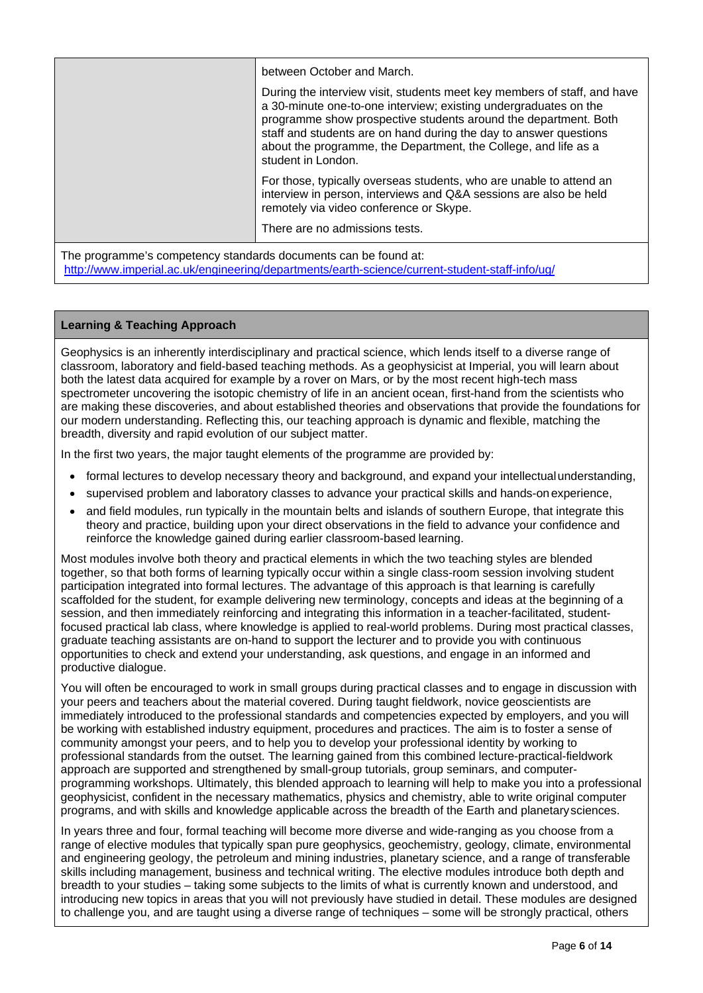|                                                                      | between October and March.<br>During the interview visit, students meet key members of staff, and have<br>a 30-minute one-to-one interview; existing undergraduates on the<br>programme show prospective students around the department. Both<br>staff and students are on hand during the day to answer questions<br>about the programme, the Department, the College, and life as a<br>student in London. |
|----------------------------------------------------------------------|-------------------------------------------------------------------------------------------------------------------------------------------------------------------------------------------------------------------------------------------------------------------------------------------------------------------------------------------------------------------------------------------------------------|
|                                                                      | For those, typically overseas students, who are unable to attend an<br>interview in person, interviews and Q&A sessions are also be held<br>remotely via video conference or Skype.<br>There are no admissions tests.                                                                                                                                                                                       |
| The nuceses week compatence atomalously secure week can be found at. |                                                                                                                                                                                                                                                                                                                                                                                                             |

The programme's competency standards documents can be found at: <http://www.imperial.ac.uk/engineering/departments/earth-science/current-student-staff-info/ug/>

## **Learning & Teaching Approach**

Geophysics is an inherently interdisciplinary and practical science, which lends itself to a diverse range of classroom, laboratory and field-based teaching methods. As a geophysicist at Imperial, you will learn about both the latest data acquired for example by a rover on Mars, or by the most recent high-tech mass spectrometer uncovering the isotopic chemistry of life in an ancient ocean, first-hand from the scientists who are making these discoveries, and about established theories and observations that provide the foundations for our modern understanding. Reflecting this, our teaching approach is dynamic and flexible, matching the breadth, diversity and rapid evolution of our subject matter.

In the first two years, the major taught elements of the programme are provided by:

- formal lectures to develop necessary theory and background, and expand your intellectualunderstanding,
- supervised problem and laboratory classes to advance your practical skills and hands-onexperience,
- and field modules, run typically in the mountain belts and islands of southern Europe, that integrate this theory and practice, building upon your direct observations in the field to advance your confidence and reinforce the knowledge gained during earlier classroom-based learning.

Most modules involve both theory and practical elements in which the two teaching styles are blended together, so that both forms of learning typically occur within a single class-room session involving student participation integrated into formal lectures. The advantage of this approach is that learning is carefully scaffolded for the student, for example delivering new terminology, concepts and ideas at the beginning of a session, and then immediately reinforcing and integrating this information in a teacher-facilitated, studentfocused practical lab class, where knowledge is applied to real-world problems. During most practical classes, graduate teaching assistants are on-hand to support the lecturer and to provide you with continuous opportunities to check and extend your understanding, ask questions, and engage in an informed and productive dialogue.

You will often be encouraged to work in small groups during practical classes and to engage in discussion with your peers and teachers about the material covered. During taught fieldwork, novice geoscientists are immediately introduced to the professional standards and competencies expected by employers, and you will be working with established industry equipment, procedures and practices. The aim is to foster a sense of community amongst your peers, and to help you to develop your professional identity by working to professional standards from the outset. The learning gained from this combined lecture-practical-fieldwork approach are supported and strengthened by small-group tutorials, group seminars, and computerprogramming workshops. Ultimately, this blended approach to learning will help to make you into a professional geophysicist, confident in the necessary mathematics, physics and chemistry, able to write original computer programs, and with skills and knowledge applicable across the breadth of the Earth and planetarysciences.

In years three and four, formal teaching will become more diverse and wide-ranging as you choose from a range of elective modules that typically span pure geophysics, geochemistry, geology, climate, environmental and engineering geology, the petroleum and mining industries, planetary science, and a range of transferable skills including management, business and technical writing. The elective modules introduce both depth and breadth to your studies – taking some subjects to the limits of what is currently known and understood, and introducing new topics in areas that you will not previously have studied in detail. These modules are designed to challenge you, and are taught using a diverse range of techniques – some will be strongly practical, others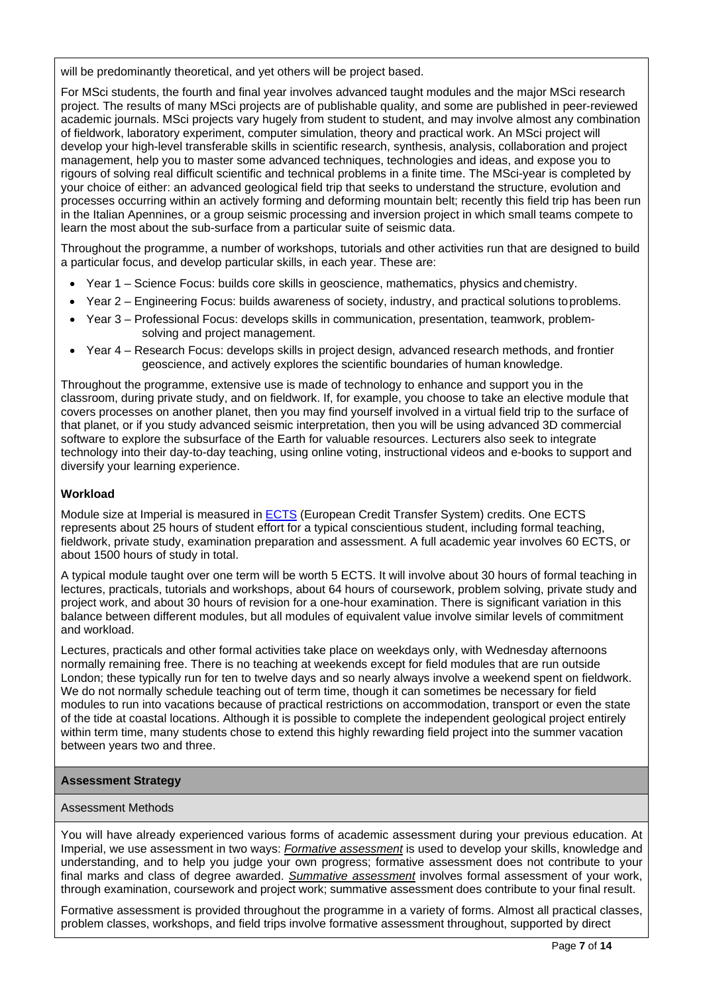will be predominantly theoretical, and yet others will be project based.

For MSci students, the fourth and final year involves advanced taught modules and the major MSci research project. The results of many MSci projects are of publishable quality, and some are published in peer-reviewed academic journals. MSci projects vary hugely from student to student, and may involve almost any combination of fieldwork, laboratory experiment, computer simulation, theory and practical work. An MSci project will develop your high-level transferable skills in scientific research, synthesis, analysis, collaboration and project management, help you to master some advanced techniques, technologies and ideas, and expose you to rigours of solving real difficult scientific and technical problems in a finite time. The MSci-year is completed by your choice of either: an advanced geological field trip that seeks to understand the structure, evolution and processes occurring within an actively forming and deforming mountain belt; recently this field trip has been run in the Italian Apennines, or a group seismic processing and inversion project in which small teams compete to learn the most about the sub-surface from a particular suite of seismic data.

Throughout the programme, a number of workshops, tutorials and other activities run that are designed to build a particular focus, and develop particular skills, in each year. These are:

- Year 1 Science Focus: builds core skills in geoscience, mathematics, physics andchemistry.
- Year 2 Engineering Focus: builds awareness of society, industry, and practical solutions toproblems.
- Year 3 Professional Focus: develops skills in communication, presentation, teamwork, problemsolving and project management.
- Year 4 Research Focus: develops skills in project design, advanced research methods, and frontier geoscience, and actively explores the scientific boundaries of human knowledge.

Throughout the programme, extensive use is made of technology to enhance and support you in the classroom, during private study, and on fieldwork. If, for example, you choose to take an elective module that covers processes on another planet, then you may find yourself involved in a virtual field trip to the surface of that planet, or if you study advanced seismic interpretation, then you will be using advanced 3D commercial software to explore the subsurface of the Earth for valuable resources. Lecturers also seek to integrate technology into their day-to-day teaching, using online voting, instructional videos and e-books to support and diversify your learning experience.

### **Workload**

Module size at Imperial is measured in **ECTS** (European Credit Transfer System) credits. One [ECTS](https://www.imperial.ac.uk/study/ug/apply/our-degrees/) represents about 25 hours of student effort for a typical conscientious student, including formal teaching, fieldwork, private study, examination preparation and assessment. A full academic year involves 60 ECTS, or about 1500 hours of study in total.

A typical module taught over one term will be worth 5 ECTS. It will involve about 30 hours of formal teaching in lectures, practicals, tutorials and workshops, about 64 hours of coursework, problem solving, private study and project work, and about 30 hours of revision for a one-hour examination. There is significant variation in this balance between different modules, but all modules of equivalent value involve similar levels of commitment and workload.

Lectures, practicals and other formal activities take place on weekdays only, with Wednesday afternoons normally remaining free. There is no teaching at weekends except for field modules that are run outside London; these typically run for ten to twelve days and so nearly always involve a weekend spent on fieldwork. We do not normally schedule teaching out of term time, though it can sometimes be necessary for field modules to run into vacations because of practical restrictions on accommodation, transport or even the state of the tide at coastal locations. Although it is possible to complete the independent geological project entirely within term time, many students chose to extend this highly rewarding field project into the summer vacation between years two and three.

#### **Assessment Strategy**

#### Assessment Methods

You will have already experienced various forms of academic assessment during your previous education. At Imperial, we use assessment in two ways: *Formative assessment* is used to develop your skills, knowledge and understanding, and to help you judge your own progress; formative assessment does not contribute to your final marks and class of degree awarded. *Summative assessment* involves formal assessment of your work, through examination, coursework and project work; summative assessment does contribute to your final result.

Formative assessment is provided throughout the programme in a variety of forms. Almost all practical classes, problem classes, workshops, and field trips involve formative assessment throughout, supported by direct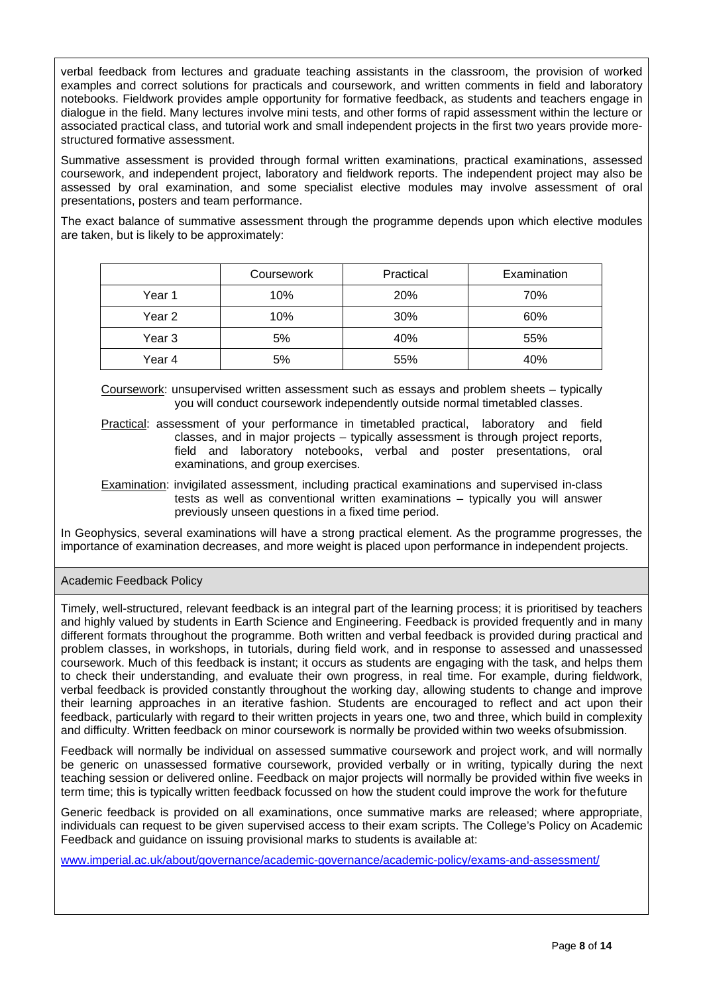verbal feedback from lectures and graduate teaching assistants in the classroom, the provision of worked examples and correct solutions for practicals and coursework, and written comments in field and laboratory notebooks. Fieldwork provides ample opportunity for formative feedback, as students and teachers engage in dialogue in the field. Many lectures involve mini tests, and other forms of rapid assessment within the lecture or associated practical class, and tutorial work and small independent projects in the first two years provide morestructured formative assessment.

Summative assessment is provided through formal written examinations, practical examinations, assessed coursework, and independent project, laboratory and fieldwork reports. The independent project may also be assessed by oral examination, and some specialist elective modules may involve assessment of oral presentations, posters and team performance.

The exact balance of summative assessment through the programme depends upon which elective modules are taken, but is likely to be approximately:

|        | Coursework | Practical | Examination |
|--------|------------|-----------|-------------|
| Year 1 | 10%        | 20%       | 70%         |
| Year 2 | 10%        | 30%       | 60%         |
| Year 3 | 5%         | 40%       | 55%         |
| Year 4 | 5%         | 55%       | 40%         |

Coursework: unsupervised written assessment such as essays and problem sheets – typically you will conduct coursework independently outside normal timetabled classes.

- Practical: assessment of your performance in timetabled practical, laboratory and field classes, and in major projects – typically assessment is through project reports, field and laboratory notebooks, verbal and poster presentations, oral examinations, and group exercises.
- Examination: invigilated assessment, including practical examinations and supervised in-class tests as well as conventional written examinations – typically you will answer previously unseen questions in a fixed time period.

In Geophysics, several examinations will have a strong practical element. As the programme progresses, the importance of examination decreases, and more weight is placed upon performance in independent projects.

## Academic Feedback Policy

Timely, well-structured, relevant feedback is an integral part of the learning process; it is prioritised by teachers and highly valued by students in Earth Science and Engineering. Feedback is provided frequently and in many different formats throughout the programme. Both written and verbal feedback is provided during practical and problem classes, in workshops, in tutorials, during field work, and in response to assessed and unassessed coursework. Much of this feedback is instant; it occurs as students are engaging with the task, and helps them to check their understanding, and evaluate their own progress, in real time. For example, during fieldwork, verbal feedback is provided constantly throughout the working day, allowing students to change and improve their learning approaches in an iterative fashion. Students are encouraged to reflect and act upon their feedback, particularly with regard to their written projects in years one, two and three, which build in complexity and difficulty. Written feedback on minor coursework is normally be provided within two weeks ofsubmission.

Feedback will normally be individual on assessed summative coursework and project work, and will normally be generic on unassessed formative coursework, provided verbally or in writing, typically during the next teaching session or delivered online. Feedback on major projects will normally be provided within five weeks in term time; this is typically written feedback focussed on how the student could improve the work for thefuture

Generic feedback is provided on all examinations, once summative marks are released; where appropriate, individuals can request to be given supervised access to their exam scripts. The College's Policy on Academic Feedback and guidance on issuing provisional marks to students is available at:

[www.imperial.ac.uk/about/governance/academic-governance/academic-policy/exams-and-assessment/](http://www.imperial.ac.uk/about/governance/academic-governance/academic-policy/exams-and-assessment/)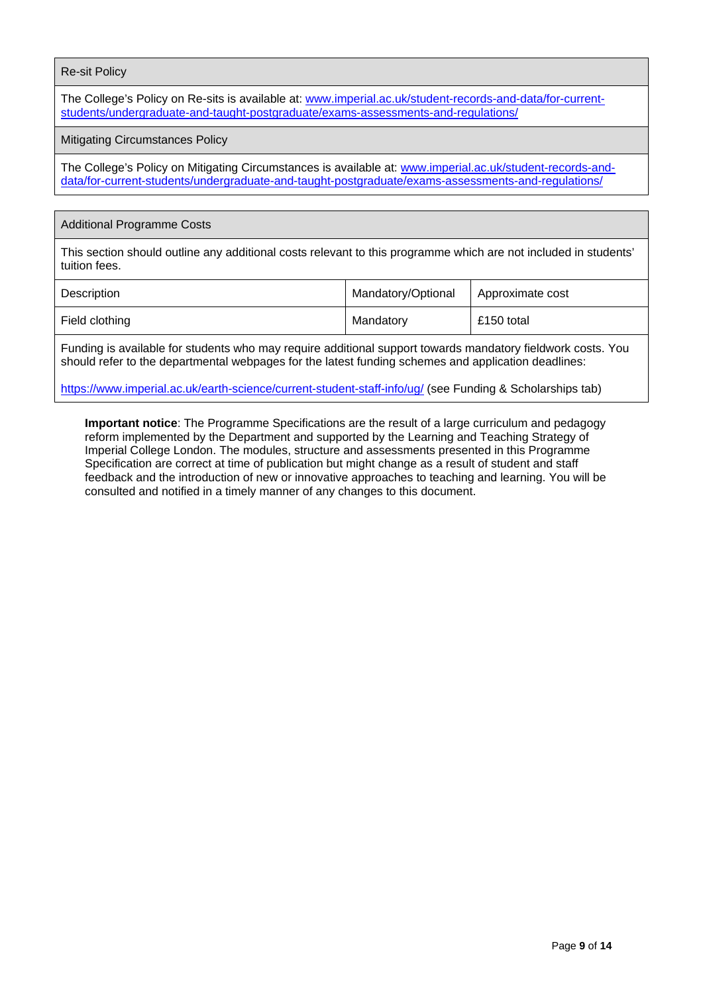#### Re-sit Policy

The College's Policy on Re-sits is available at: [www.imperial.ac.uk/student-records-and-data/for-current](http://www.imperial.ac.uk/student-records-and-data/for-current-students/undergraduate-and-taught-postgraduate/exams-assessments-and-regulations/)[students/undergraduate-and-taught-postgraduate/exams-assessments-and-regulations/](http://www.imperial.ac.uk/student-records-and-data/for-current-students/undergraduate-and-taught-postgraduate/exams-assessments-and-regulations/)

#### Mitigating Circumstances Policy

The College's Policy on Mitigating Circumstances is available at: [www.imperial.ac.uk/student-records-and](http://www.imperial.ac.uk/student-records-and-data/for-current-students/undergraduate-and-taught-postgraduate/exams-assessments-and-regulations/)[data/for-current-students/undergraduate-and-taught-postgraduate/exams-assessments-and-regulations/](http://www.imperial.ac.uk/student-records-and-data/for-current-students/undergraduate-and-taught-postgraduate/exams-assessments-and-regulations/)

#### Additional Programme Costs

This section should outline any additional costs relevant to this programme which are not included in students' tuition fees.

| Description    | Mandatory/Optional | Approximate cost |
|----------------|--------------------|------------------|
| Field clothing | Mandatory          | £150 total       |

Funding is available for students who may require additional support towards mandatory fieldwork costs. You should refer to the departmental webpages for the latest funding schemes and application deadlines:

<https://www.imperial.ac.uk/earth-science/current-student-staff-info/ug/> (see Funding & Scholarships tab)

**Important notice**: The Programme Specifications are the result of a large curriculum and pedagogy reform implemented by the Department and supported by the Learning and Teaching Strategy of Imperial College London. The modules, structure and assessments presented in this Programme Specification are correct at time of publication but might change as a result of student and staff feedback and the introduction of new or innovative approaches to teaching and learning. You will be consulted and notified in a timely manner of any changes to this document.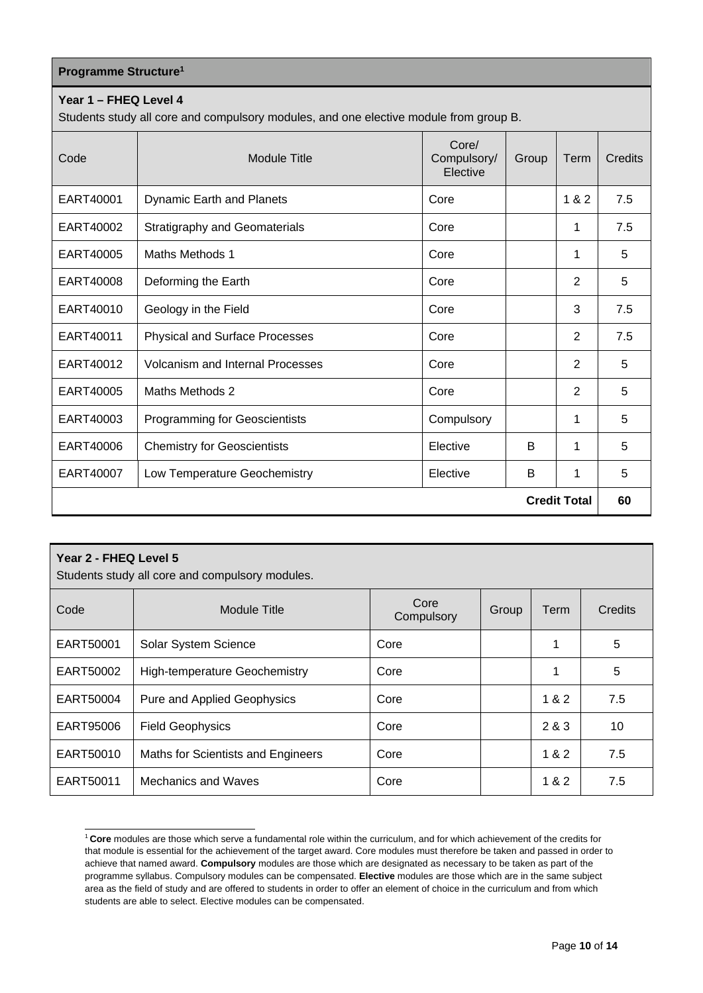| <b>Programme Structure<sup>1</sup></b> |  |
|----------------------------------------|--|
|----------------------------------------|--|

## **Year 1 – FHEQ Level 4**

Students study all core and compulsory modules, and one elective module from group B.

| Code                | <b>Module Title</b>                     | Core/<br>Compulsory/<br>Elective | Group | Term           | Credits |
|---------------------|-----------------------------------------|----------------------------------|-------|----------------|---------|
| EART40001           | Dynamic Earth and Planets               | Core                             |       | 1 & 2          | 7.5     |
| EART40002           | <b>Stratigraphy and Geomaterials</b>    | Core                             |       | 1              | 7.5     |
| EART40005           | Maths Methods 1                         | Core                             |       | $\mathbf 1$    | 5       |
| EART40008           | Deforming the Earth                     | Core                             |       | $\overline{2}$ | 5       |
| EART40010           | Geology in the Field                    | Core                             |       | 3              | 7.5     |
| EART40011           | <b>Physical and Surface Processes</b>   | Core                             |       | 2              | 7.5     |
| EART40012           | <b>Volcanism and Internal Processes</b> | Core                             |       | 2              | 5       |
| EART40005           | Maths Methods 2                         | Core                             |       | $\overline{2}$ | 5       |
| EART40003           | <b>Programming for Geoscientists</b>    | Compulsory                       |       | 1              | 5       |
| EART40006           | <b>Chemistry for Geoscientists</b>      | Elective                         | B     | 1              | 5       |
| EART40007           | Low Temperature Geochemistry            | Elective                         | B     | 1              | 5       |
| <b>Credit Total</b> |                                         |                                  |       |                | 60      |

| Year 2 - FHEQ Level 5<br>Students study all core and compulsory modules. |                                      |                    |       |       |                |
|--------------------------------------------------------------------------|--------------------------------------|--------------------|-------|-------|----------------|
| Code                                                                     | Module Title                         | Core<br>Compulsory | Group | Term  | <b>Credits</b> |
| EART50001                                                                | Solar System Science                 | Core               |       | 1     | 5              |
| EART50002                                                                | <b>High-temperature Geochemistry</b> | Core               |       | 1     | 5              |
| EART50004                                                                | <b>Pure and Applied Geophysics</b>   | Core               |       | 1 & 2 | 7.5            |
| EART95006                                                                | <b>Field Geophysics</b>              | Core               |       | 2 & 3 | 10             |
| EART50010                                                                | Maths for Scientists and Engineers   | Core               |       | 1 & 2 | 7.5            |
| EART50011                                                                | Mechanics and Waves                  | Core               |       | 1 & 2 | 7.5            |

<span id="page-9-0"></span><sup>1</sup>**Core** modules are those which serve a fundamental role within the curriculum, and for which achievement of the credits for that module is essential for the achievement of the target award. Core modules must therefore be taken and passed in order to achieve that named award. **Compulsory** modules are those which are designated as necessary to be taken as part of the programme syllabus. Compulsory modules can be compensated. **Elective** modules are those which are in the same subject area as the field of study and are offered to students in order to offer an element of choice in the curriculum and from which students are able to select. Elective modules can be compensated.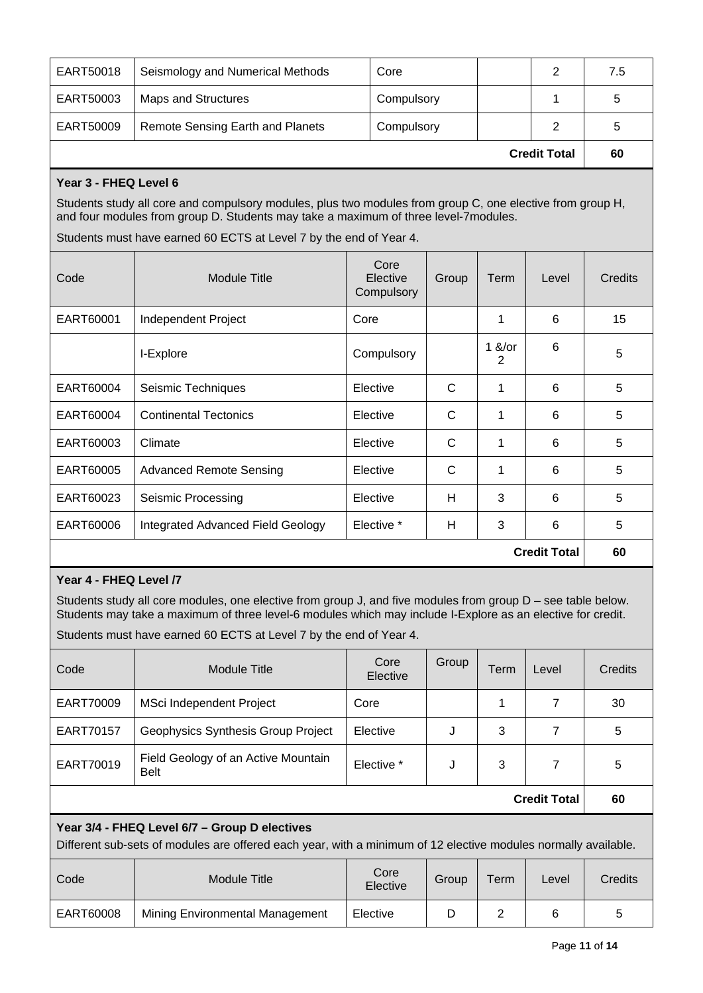| EART50018           | Seismology and Numerical Methods        | Core       |  |   | 7.5 |
|---------------------|-----------------------------------------|------------|--|---|-----|
| EART50003           | Maps and Structures                     | Compulsory |  |   | 5   |
| EART50009           | <b>Remote Sensing Earth and Planets</b> | Compulsory |  | 2 | 5   |
| <b>Credit Total</b> |                                         |            |  |   | 60  |

# **Year 3 - FHEQ Level 6**

Students study all core and compulsory modules, plus two modules from group C, one elective from group H, and four modules from group D. Students may take a maximum of three level-7modules.

Students must have earned 60 ECTS at Level 7 by the end of Year 4.

| Code                | Module Title                      | Core<br>Elective<br>Compulsory | Group | Term          | Level | Credits |
|---------------------|-----------------------------------|--------------------------------|-------|---------------|-------|---------|
| EART60001           | Independent Project               | Core                           |       | 1             | 6     | 15      |
|                     | I-Explore                         | Compulsory                     |       | $1$ &/or<br>2 | 6     | 5       |
| EART60004           | Seismic Techniques                | Elective                       | C     | 1             | 6     | 5       |
| EART60004           | <b>Continental Tectonics</b>      | Elective                       | C     | 1             | 6     | 5       |
| EART60003           | Climate                           | Elective                       | C     | 1             | 6     | 5       |
| EART60005           | <b>Advanced Remote Sensing</b>    | Elective                       | C     | 1             | 6     | 5       |
| EART60023           | Seismic Processing                | Elective                       | H     | 3             | 6     | 5       |
| EART60006           | Integrated Advanced Field Geology | Elective *                     | H     | 3             | 6     | 5       |
| <b>Credit Total</b> |                                   |                                |       | 60            |       |         |

## **Year 4 - FHEQ Level /7**

Students study all core modules, one elective from group J, and five modules from group D – see table below. Students may take a maximum of three level-6 modules which may include I-Explore as an elective for credit.

Students must have earned 60 ECTS at Level 7 by the end of Year 4.

| Code                                                                                                                                                            | Module Title                                       | Core<br>Elective | Group | Term | Level | Credits |
|-----------------------------------------------------------------------------------------------------------------------------------------------------------------|----------------------------------------------------|------------------|-------|------|-------|---------|
| EART70009                                                                                                                                                       | MSci Independent Project                           | Core             |       |      | 7     | 30      |
| EART70157                                                                                                                                                       | Geophysics Synthesis Group Project                 | Elective         | J     | 3    | 7     | 5       |
| EART70019                                                                                                                                                       | Field Geology of an Active Mountain<br><b>Belt</b> | Elective *       | J     | 3    | 7     | 5       |
| <b>Credit Total</b>                                                                                                                                             |                                                    |                  |       |      |       | 60      |
| Year 3/4 - FHEQ Level 6/7 - Group D electives<br>Different sub-sets of modules are offered each year, with a minimum of 12 elective modules normally available. |                                                    |                  |       |      |       |         |

| Code      | Module Title                    | Core<br>Elective | Group | Term | Level | <b>Credits</b> |
|-----------|---------------------------------|------------------|-------|------|-------|----------------|
| EART60008 | Mining Environmental Management | Elective         |       |      |       | ა              |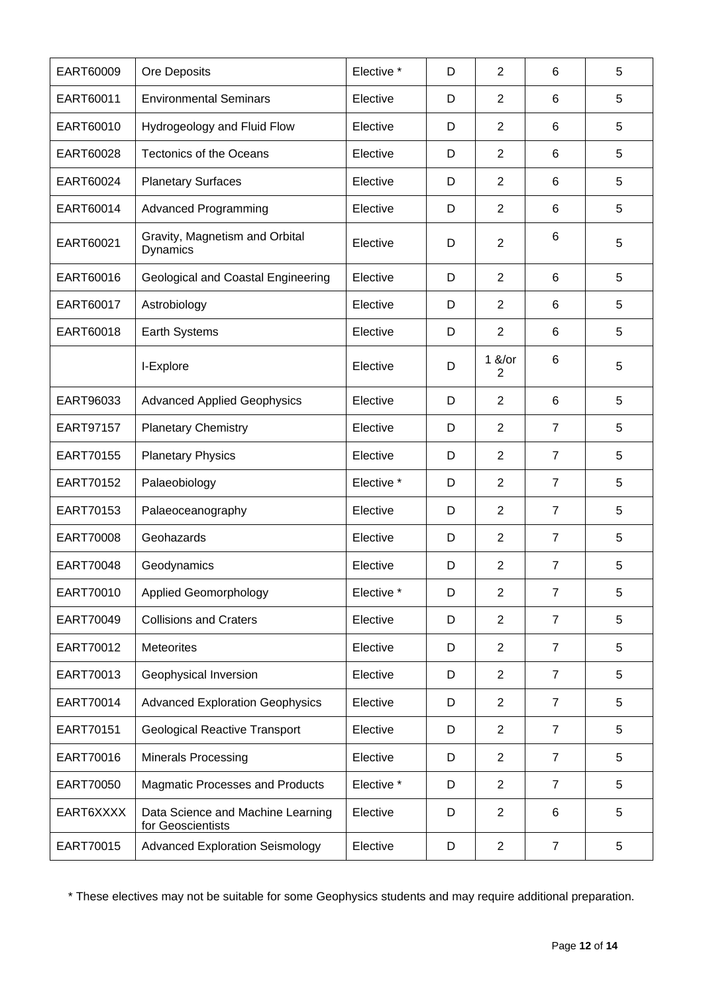| EART60009 | Ore Deposits                                           | Elective * | D | 2                | 6              | 5 |
|-----------|--------------------------------------------------------|------------|---|------------------|----------------|---|
| EART60011 | <b>Environmental Seminars</b>                          | Elective   | D | 2                | 6              | 5 |
| EART60010 | Hydrogeology and Fluid Flow                            | Elective   | D | 2                | 6              | 5 |
| EART60028 | <b>Tectonics of the Oceans</b>                         | Elective   | D | $\overline{2}$   | 6              | 5 |
| EART60024 | <b>Planetary Surfaces</b>                              | Elective   | D | 2                | 6              | 5 |
| EART60014 | <b>Advanced Programming</b>                            | Elective   | D | $\overline{2}$   | 6              | 5 |
| EART60021 | Gravity, Magnetism and Orbital<br>Dynamics             | Elective   | D | $\overline{2}$   | 6              | 5 |
| EART60016 | Geological and Coastal Engineering                     | Elective   | D | $\overline{2}$   | 6              | 5 |
| EART60017 | Astrobiology                                           | Elective   | D | $\overline{2}$   | 6              | 5 |
| EART60018 | Earth Systems                                          | Elective   | D | $\overline{2}$   | 6              | 5 |
|           | I-Explore                                              | Elective   | D | $1 & 8$ /or<br>2 | 6              | 5 |
| EART96033 | <b>Advanced Applied Geophysics</b>                     | Elective   | D | 2                | 6              | 5 |
| EART97157 | <b>Planetary Chemistry</b>                             | Elective   | D | 2                | $\overline{7}$ | 5 |
| EART70155 | <b>Planetary Physics</b>                               | Elective   | D | $\overline{2}$   | $\overline{7}$ | 5 |
| EART70152 | Palaeobiology                                          | Elective * | D | $\overline{2}$   | $\overline{7}$ | 5 |
| EART70153 | Palaeoceanography                                      | Elective   | D | $\overline{2}$   | $\overline{7}$ | 5 |
| EART70008 | Geohazards                                             | Elective   | D | 2                | $\overline{7}$ | 5 |
| EART70048 | Geodynamics                                            | Elective   | D | $\overline{2}$   | $\overline{7}$ | 5 |
| EART70010 | <b>Applied Geomorphology</b>                           | Elective * | D | $\overline{2}$   | $\overline{7}$ | 5 |
| EART70049 | <b>Collisions and Craters</b>                          | Elective   | D | $\overline{2}$   | $\overline{7}$ | 5 |
| EART70012 | Meteorites                                             | Elective   | D | $\overline{2}$   | $\overline{7}$ | 5 |
| EART70013 | Geophysical Inversion                                  | Elective   | D | 2                | $\overline{7}$ | 5 |
| EART70014 | <b>Advanced Exploration Geophysics</b>                 | Elective   | D | $\overline{2}$   | $\overline{7}$ | 5 |
| EART70151 | <b>Geological Reactive Transport</b>                   | Elective   | D | $\overline{2}$   | $\overline{7}$ | 5 |
| EART70016 | <b>Minerals Processing</b>                             | Elective   | D | $\overline{2}$   | 7              | 5 |
| EART70050 | <b>Magmatic Processes and Products</b>                 | Elective * | D | 2                | $\overline{7}$ | 5 |
| EART6XXXX | Data Science and Machine Learning<br>for Geoscientists | Elective   | D | $\overline{2}$   | 6              | 5 |
| EART70015 | <b>Advanced Exploration Seismology</b>                 | Elective   | D | $\overline{2}$   | $\overline{7}$ | 5 |

\* These electives may not be suitable for some Geophysics students and may require additional preparation.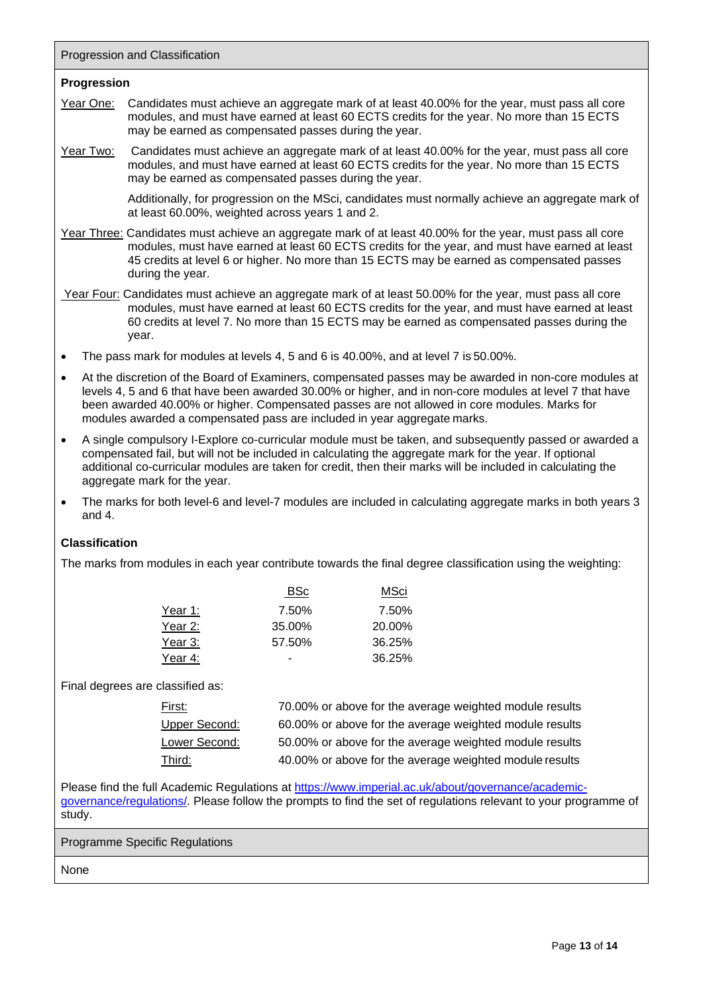Progression and Classification

#### **Progression**

- Year One: Candidates must achieve an aggregate mark of at least 40.00% for the year, must pass all core modules, and must have earned at least 60 ECTS credits for the year. No more than 15 ECTS may be earned as compensated passes during the year.
- Year Two: Candidates must achieve an aggregate mark of at least 40.00% for the year, must pass all core modules, and must have earned at least 60 ECTS credits for the year. No more than 15 ECTS may be earned as compensated passes during the year.

Additionally, for progression on the MSci, candidates must normally achieve an aggregate mark of at least 60.00%, weighted across years 1 and 2.

- Year Three: Candidates must achieve an aggregate mark of at least 40.00% for the year, must pass all core modules, must have earned at least 60 ECTS credits for the year, and must have earned at least 45 credits at level 6 or higher. No more than 15 ECTS may be earned as compensated passes during the year.
- Year Four: Candidates must achieve an aggregate mark of at least 50.00% for the year, must pass all core modules, must have earned at least 60 ECTS credits for the year, and must have earned at least 60 credits at level 7. No more than 15 ECTS may be earned as compensated passes during the year.
- The pass mark for modules at levels 4, 5 and 6 is 40.00%, and at level 7 is 50.00%.
- At the discretion of the Board of Examiners, compensated passes may be awarded in non-core modules at levels 4, 5 and 6 that have been awarded 30.00% or higher, and in non-core modules at level 7 that have been awarded 40.00% or higher. Compensated passes are not allowed in core modules. Marks for modules awarded a compensated pass are included in year aggregate marks.
- A single compulsory I-Explore co-curricular module must be taken, and subsequently passed or awarded a compensated fail, but will not be included in calculating the aggregate mark for the year. If optional additional co-curricular modules are taken for credit, then their marks will be included in calculating the aggregate mark for the year.
- The marks for both level-6 and level-7 modules are included in calculating aggregate marks in both years 3 and 4.

## **Classification**

The marks from modules in each year contribute towards the final degree classification using the weighting:

|         | <b>BSc</b> | MSci   |
|---------|------------|--------|
| Year 1: | 7.50%      | 7.50%  |
| Year 2: | 35.00%     | 20.00% |
| Year 3: | 57.50%     | 36.25% |
| Year 4: |            | 36.25% |

Final degrees are classified as:

| <u>First:</u> | 70.00% or above for the average weighted module results |
|---------------|---------------------------------------------------------|
| Upper Second: | 60.00% or above for the average weighted module results |
| Lower Second: | 50.00% or above for the average weighted module results |
| Third:        | 40.00% or above for the average weighted module results |

Please find the full Academic Regulations at [https://www.imperial.ac.uk/about/governance/academic](https://www.imperial.ac.uk/about/governance/academic-governance/regulations/)[governance/regulations/. P](https://www.imperial.ac.uk/about/governance/academic-governance/regulations/)lease follow the prompts to find the set of regulations relevant to your programme of study.

Programme Specific Regulations

None